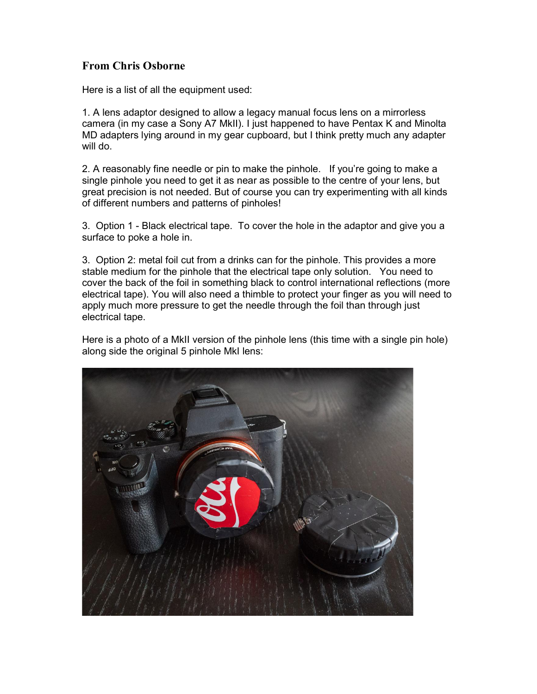## From Chris Osborne

Here is a list of all the equipment used:

1. A lens adaptor designed to allow a legacy manual focus lens on a mirrorless camera (in my case a Sony A7 MkII). I just happened to have Pentax K and Minolta MD adapters lying around in my gear cupboard, but I think pretty much any adapter will do.

2. A reasonably fine needle or pin to make the pinhole. If you're going to make a single pinhole you need to get it as near as possible to the centre of your lens, but great precision is not needed. But of course you can try experimenting with all kinds of different numbers and patterns of pinholes!

3. Option 1 - Black electrical tape. To cover the hole in the adaptor and give you a surface to poke a hole in.

3. Option 2: metal foil cut from a drinks can for the pinhole. This provides a more stable medium for the pinhole that the electrical tape only solution. You need to cover the back of the foil in something black to control international reflections (more electrical tape). You will also need a thimble to protect your finger as you will need to apply much more pressure to get the needle through the foil than through just electrical tape.

Here is a photo of a MkII version of the pinhole lens (this time with a single pin hole) along side the original 5 pinhole MkI lens: